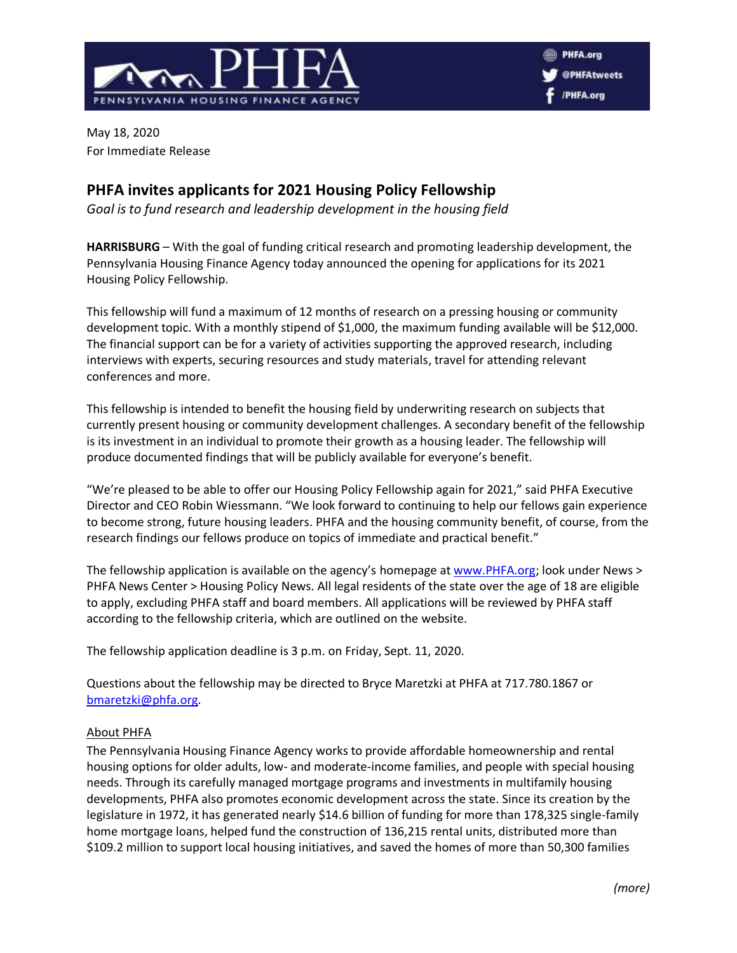

May 18, 2020 For Immediate Release

## **PHFA invites applicants for 2021 Housing Policy Fellowship**

*Goal is to fund research and leadership development in the housing field*

**HARRISBURG** – With the goal of funding critical research and promoting leadership development, the Pennsylvania Housing Finance Agency today announced the opening for applications for its 2021 Housing Policy Fellowship.

This fellowship will fund a maximum of 12 months of research on a pressing housing or community development topic. With a monthly stipend of \$1,000, the maximum funding available will be \$12,000. The financial support can be for a variety of activities supporting the approved research, including interviews with experts, securing resources and study materials, travel for attending relevant conferences and more.

This fellowship is intended to benefit the housing field by underwriting research on subjects that currently present housing or community development challenges. A secondary benefit of the fellowship is its investment in an individual to promote their growth as a housing leader. The fellowship will produce documented findings that will be publicly available for everyone's benefit.

"We're pleased to be able to offer our Housing Policy Fellowship again for 2021," said PHFA Executive Director and CEO Robin Wiessmann. "We look forward to continuing to help our fellows gain experience to become strong, future housing leaders. PHFA and the housing community benefit, of course, from the research findings our fellows produce on topics of immediate and practical benefit."

The fellowship application is available on the agency's homepage at [www.PHFA.org;](http://www.phfa.org/) look under News > PHFA News Center > Housing Policy News. All legal residents of the state over the age of 18 are eligible to apply, excluding PHFA staff and board members. All applications will be reviewed by PHFA staff according to the fellowship criteria, which are outlined on the website.

The fellowship application deadline is 3 p.m. on Friday, Sept. 11, 2020.

Questions about the fellowship may be directed to Bryce Maretzki at PHFA at 717.780.1867 or [bmaretzki@phfa.org.](mailto:bmaretzki@phfa.org)

## About PHFA

The Pennsylvania Housing Finance Agency works to provide affordable homeownership and rental housing options for older adults, low- and moderate-income families, and people with special housing needs. Through its carefully managed mortgage programs and investments in multifamily housing developments, PHFA also promotes economic development across the state. Since its creation by the legislature in 1972, it has generated nearly \$14.6 billion of funding for more than 178,325 single-family home mortgage loans, helped fund the construction of 136,215 rental units, distributed more than \$109.2 million to support local housing initiatives, and saved the homes of more than 50,300 families